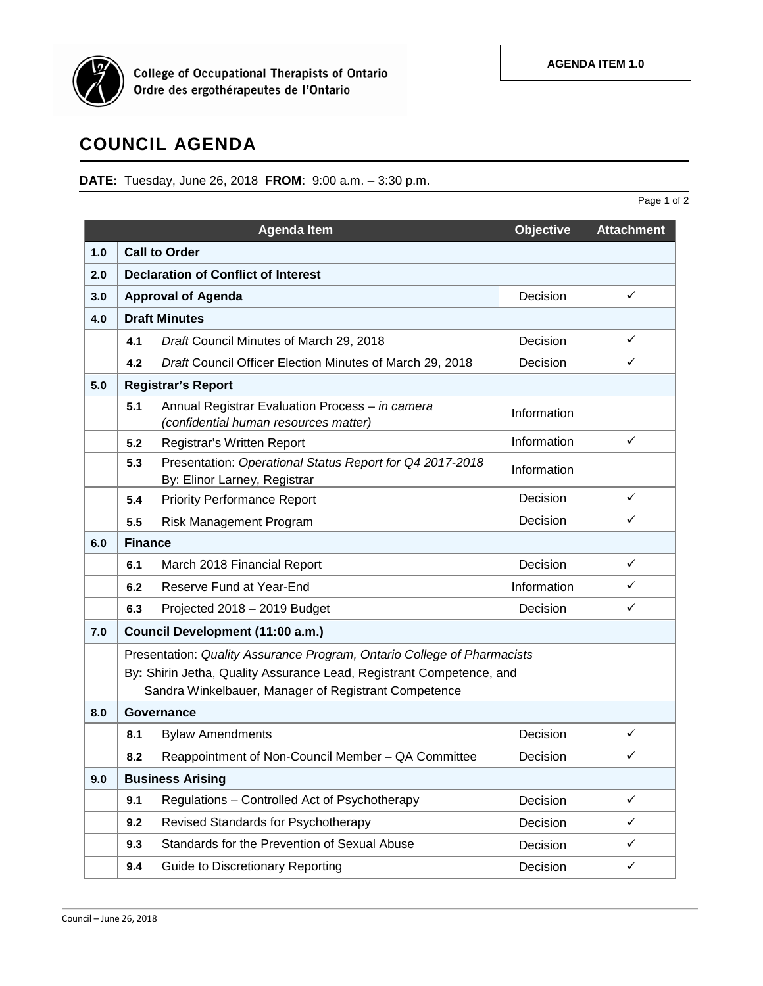

**College of Occupational Therapists of Ontario<br>Ordre des ergothérapeutes de l'Ontario** 

## **COUNCIL AGENDA**

**DATE:** Tuesday, June 26, 2018 **FROM**: 9:00 a.m. – 3:30 p.m.

|     |                                                                                                                                                                                                         |                                                                                          |                  | Page 1 of 2       |  |  |
|-----|---------------------------------------------------------------------------------------------------------------------------------------------------------------------------------------------------------|------------------------------------------------------------------------------------------|------------------|-------------------|--|--|
|     |                                                                                                                                                                                                         | <b>Agenda Item</b>                                                                       | <b>Objective</b> | <b>Attachment</b> |  |  |
| 1.0 |                                                                                                                                                                                                         | <b>Call to Order</b>                                                                     |                  |                   |  |  |
| 2.0 |                                                                                                                                                                                                         | <b>Declaration of Conflict of Interest</b>                                               |                  |                   |  |  |
| 3.0 |                                                                                                                                                                                                         | <b>Approval of Agenda</b>                                                                | Decision         | ✓                 |  |  |
| 4.0 |                                                                                                                                                                                                         | <b>Draft Minutes</b>                                                                     |                  |                   |  |  |
|     | 4.1                                                                                                                                                                                                     | Draft Council Minutes of March 29, 2018                                                  | Decision         | ✓                 |  |  |
|     | 4.2                                                                                                                                                                                                     | Draft Council Officer Election Minutes of March 29, 2018                                 | Decision         | ✓                 |  |  |
| 5.0 | <b>Registrar's Report</b>                                                                                                                                                                               |                                                                                          |                  |                   |  |  |
|     | 5.1                                                                                                                                                                                                     | Annual Registrar Evaluation Process - in camera<br>(confidential human resources matter) | Information      |                   |  |  |
|     | 5.2                                                                                                                                                                                                     | Registrar's Written Report                                                               | Information      | ✓                 |  |  |
|     | 5.3                                                                                                                                                                                                     | Presentation: Operational Status Report for Q4 2017-2018<br>By: Elinor Larney, Registrar | Information      |                   |  |  |
|     | 5.4                                                                                                                                                                                                     | <b>Priority Performance Report</b>                                                       | Decision         | ✓                 |  |  |
|     | 5.5                                                                                                                                                                                                     | Risk Management Program                                                                  | Decision         | ✓                 |  |  |
| 6.0 | <b>Finance</b>                                                                                                                                                                                          |                                                                                          |                  |                   |  |  |
|     | 6.1                                                                                                                                                                                                     | March 2018 Financial Report                                                              | Decision         | ✓                 |  |  |
|     | 6.2                                                                                                                                                                                                     | Reserve Fund at Year-End                                                                 | Information      | ✓                 |  |  |
|     | 6.3                                                                                                                                                                                                     | Projected 2018 - 2019 Budget                                                             | Decision         | ✓                 |  |  |
| 7.0 | Council Development (11:00 a.m.)                                                                                                                                                                        |                                                                                          |                  |                   |  |  |
|     | Presentation: Quality Assurance Program, Ontario College of Pharmacists<br>By: Shirin Jetha, Quality Assurance Lead, Registrant Competence, and<br>Sandra Winkelbauer, Manager of Registrant Competence |                                                                                          |                  |                   |  |  |
| 8.0 |                                                                                                                                                                                                         | Governance                                                                               |                  |                   |  |  |
|     | 8.1                                                                                                                                                                                                     | <b>Bylaw Amendments</b>                                                                  | Decision         | ✓                 |  |  |
|     | 8.2                                                                                                                                                                                                     | Reappointment of Non-Council Member - QA Committee                                       | Decision         | ✓                 |  |  |
| 9.0 |                                                                                                                                                                                                         | <b>Business Arising</b>                                                                  |                  |                   |  |  |
|     | 9.1                                                                                                                                                                                                     | Regulations - Controlled Act of Psychotherapy                                            | Decision         | $\checkmark$      |  |  |
|     | 9.2                                                                                                                                                                                                     | Revised Standards for Psychotherapy                                                      | Decision         | ✓                 |  |  |
|     | 9.3                                                                                                                                                                                                     | Standards for the Prevention of Sexual Abuse                                             | Decision         | ✓                 |  |  |
|     | 9.4                                                                                                                                                                                                     | <b>Guide to Discretionary Reporting</b>                                                  | Decision         | $\checkmark$      |  |  |